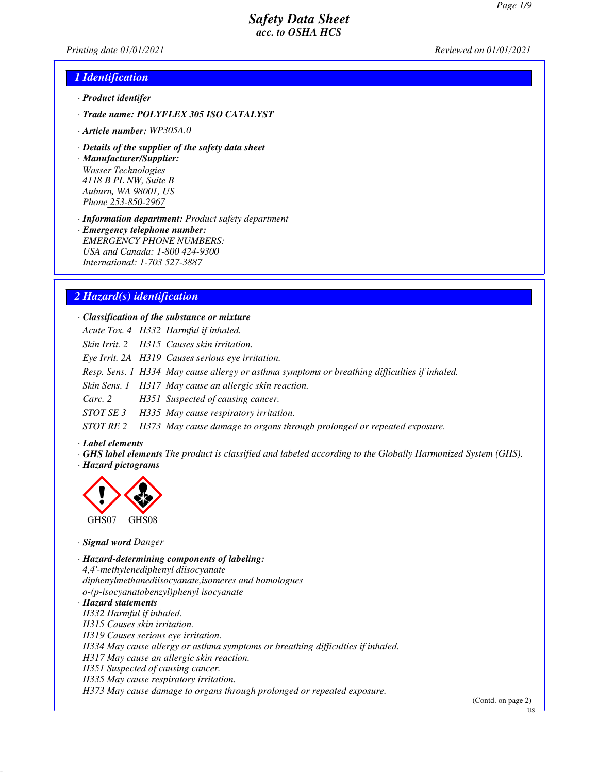*Printing date 01/01/2021 Reviewed on 01/01/2021*

#### *1 Identification*

- *· Product identifer*
- *· Trade name: POLYFLEX 305 ISO CATALYST*
- *· Article number: WP305A.0*
- *· Details of the supplier of the safety data sheet*
- *· Manufacturer/Supplier: Wasser Technologies 4118 B PL NW, Suite B Auburn, WA 98001, US Phone 253-850-2967*

*· Information department: Product safety department*

*· Emergency telephone number: EMERGENCY PHONE NUMBERS: USA and Canada: 1-800 424-9300 International: 1-703 527-3887*

#### *2 Hazard(s) identification*

*· Classification of the substance or mixture*

*Acute Tox. 4 H332 Harmful if inhaled.*

*Skin Irrit. 2 H315 Causes skin irritation.*

*Eye Irrit. 2A H319 Causes serious eye irritation.*

*Resp. Sens. 1 H334 May cause allergy or asthma symptoms or breathing difficulties if inhaled.*

*Skin Sens. 1 H317 May cause an allergic skin reaction.*

*Carc. 2 H351 Suspected of causing cancer.*

*STOT SE 3 H335 May cause respiratory irritation.*

*STOT RE 2 H373 May cause damage to organs through prolonged or repeated exposure.*

#### *· Label elements*

*· GHS label elements The product is classified and labeled according to the Globally Harmonized System (GHS). · Hazard pictograms*



*· Signal word Danger*

*· Hazard-determining components of labeling: 4,4'-methylenediphenyl diisocyanate diphenylmethanediisocyanate,isomeres and homologues o-(p-isocyanatobenzyl)phenyl isocyanate · Hazard statements*

*H332 Harmful if inhaled. H315 Causes skin irritation. H319 Causes serious eye irritation. H334 May cause allergy or asthma symptoms or breathing difficulties if inhaled. H317 May cause an allergic skin reaction. H351 Suspected of causing cancer. H335 May cause respiratory irritation. H373 May cause damage to organs through prolonged or repeated exposure.*

(Contd. on page 2)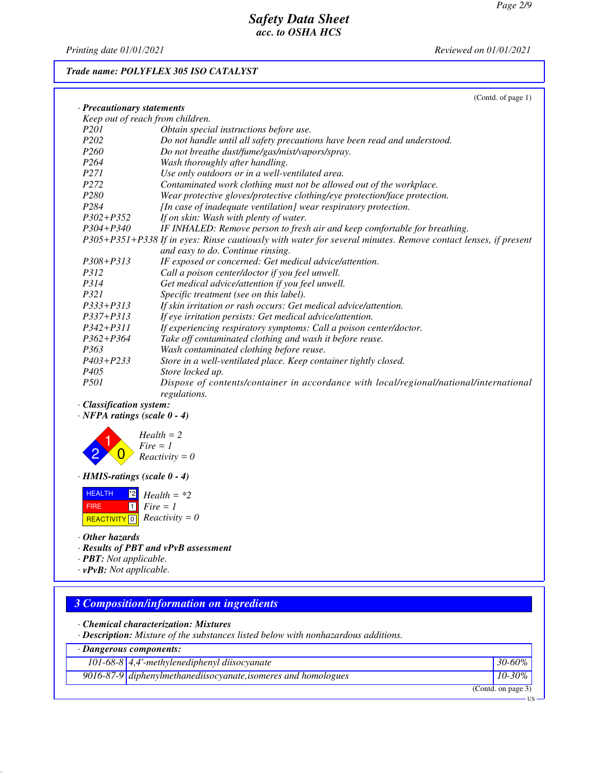*Printing date 01/01/2021 Reviewed on 01/01/2021*

# *Trade name: POLYFLEX 305 ISO CATALYST*

| <b>Precautionary statements</b><br>Keep out of reach from children.<br>P <sub>201</sub><br>Obtain special instructions before use. |
|------------------------------------------------------------------------------------------------------------------------------------|
|                                                                                                                                    |
|                                                                                                                                    |
|                                                                                                                                    |
| P <sub>202</sub><br>Do not handle until all safety precautions have been read and understood.                                      |
| P <sub>260</sub><br>Do not breathe dust/fume/gas/mist/vapors/spray.                                                                |
| P <sub>264</sub><br>Wash thoroughly after handling.                                                                                |
| Use only outdoors or in a well-ventilated area.<br>P <sub>271</sub>                                                                |
| P <sub>272</sub><br>Contaminated work clothing must not be allowed out of the workplace.                                           |
| P <sub>280</sub><br>Wear protective gloves/protective clothing/eye protection/face protection.                                     |
| P <sub>284</sub><br>[In case of inadequate ventilation] wear respiratory protection.                                               |
| $P302 + P352$<br>If on skin: Wash with plenty of water.                                                                            |
| $P304 + P340$<br>IF INHALED: Remove person to fresh air and keep comfortable for breathing.                                        |
| P305+P351+P338 If in eyes: Rinse cautiously with water for several minutes. Remove contact lenses, if present                      |
| and easy to do. Continue rinsing.                                                                                                  |
| IF exposed or concerned: Get medical advice/attention.<br>$P308 + P313$                                                            |
| Call a poison center/doctor if you feel unwell.<br>P312                                                                            |
| P314<br>Get medical advice/attention if you feel unwell.                                                                           |
| P321<br>Specific treatment (see on this label).                                                                                    |
| $P333+P313$<br>If skin irritation or rash occurs: Get medical advice/attention.                                                    |
| $P337 + P313$<br>If eye irritation persists: Get medical advice/attention.                                                         |
| $P342 + P311$<br>If experiencing respiratory symptoms: Call a poison center/doctor.                                                |
| $P362 + P364$<br>Take off contaminated clothing and wash it before reuse.                                                          |
| P363<br>Wash contaminated clothing before reuse.                                                                                   |
| $P403 + P233$<br>Store in a well-ventilated place. Keep container tightly closed.                                                  |
| P <sub>405</sub><br>Store locked up.                                                                                               |
| <i>P501</i><br>Dispose of contents/container in accordance with local/regional/national/international                              |
| regulations.                                                                                                                       |
| <b>Classification system:</b>                                                                                                      |

*· NFPA ratings (scale 0 - 4)*



*· HMIS-ratings (scale 0 - 4)*

| <b>HEALTH</b> | $12$ Health = *2                                    |
|---------------|-----------------------------------------------------|
| <b>FIRE</b>   | $\blacksquare$ 1   Fire = 1                         |
|               | <b>REACTIVITY</b> $\boxed{0}$ <i>Reactivity</i> = 0 |

*· Other hazards*

*· Results of PBT and vPvB assessment*

*· PBT: Not applicable.*

*· vPvB: Not applicable.*

# *3 Composition/information on ingredients*

*· Chemical characterization: Mixtures*

*· Description: Mixture of the substances listed below with nonhazardous additions.*

| · Dangerous components:                                        |                    |
|----------------------------------------------------------------|--------------------|
| $\overline{101-68-8\mid 4}$ ,4'-methylenediphenyl diisocyanate | $30 - 60\%$        |
| 9016-87-9 diphenylmethanediisocyanate, isomeres and homologues | $10 - 30\%$        |
|                                                                | (Contd. on page 3) |
|                                                                | $\frac{1}{2}$      |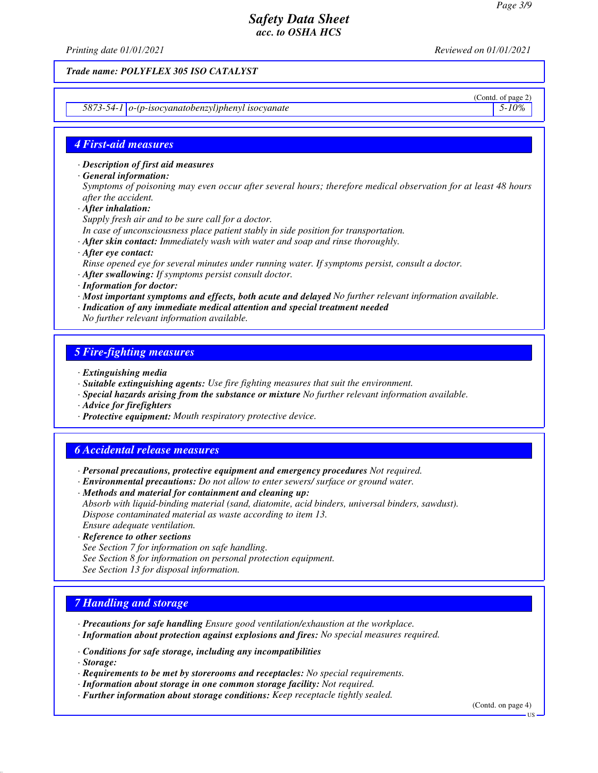*Printing date 01/01/2021 Reviewed on 01/01/2021*

*Trade name: POLYFLEX 305 ISO CATALYST*

*5873-54-1 o-(p-isocyanatobenzyl)phenyl isocyanate 5-10%*

# (Contd. of page 2)

#### *4 First-aid measures*

*· Description of first aid measures*

*· General information:*

*Symptoms of poisoning may even occur after several hours; therefore medical observation for at least 48 hours after the accident.*

*· After inhalation:*

*Supply fresh air and to be sure call for a doctor.*

*In case of unconsciousness place patient stably in side position for transportation.*

- *· After skin contact: Immediately wash with water and soap and rinse thoroughly.*
- *· After eye contact:*
- *Rinse opened eye for several minutes under running water. If symptoms persist, consult a doctor.*
- *· After swallowing: If symptoms persist consult doctor.*
- *· Information for doctor:*
- *· Most important symptoms and effects, both acute and delayed No further relevant information available.*
- *· Indication of any immediate medical attention and special treatment needed*
- *No further relevant information available.*

#### *5 Fire-fighting measures*

- *· Extinguishing media*
- *· Suitable extinguishing agents: Use fire fighting measures that suit the environment.*
- *· Special hazards arising from the substance or mixture No further relevant information available.*
- *· Advice for firefighters*
- *· Protective equipment: Mouth respiratory protective device.*

#### *6 Accidental release measures*

- *· Personal precautions, protective equipment and emergency procedures Not required.*
- *· Environmental precautions: Do not allow to enter sewers/ surface or ground water.*

*· Methods and material for containment and cleaning up: Absorb with liquid-binding material (sand, diatomite, acid binders, universal binders, sawdust). Dispose contaminated material as waste according to item 13. Ensure adequate ventilation.*

- *· Reference to other sections*
- *See Section 7 for information on safe handling.*
- *See Section 8 for information on personal protection equipment.*
- *See Section 13 for disposal information.*

#### *7 Handling and storage*

- *· Precautions for safe handling Ensure good ventilation/exhaustion at the workplace.*
- *· Information about protection against explosions and fires: No special measures required.*
- *· Conditions for safe storage, including any incompatibilities*
- *· Storage:*
- *· Requirements to be met by storerooms and receptacles: No special requirements.*
- *· Information about storage in one common storage facility: Not required.*
- *· Further information about storage conditions: Keep receptacle tightly sealed.*

(Contd. on page 4)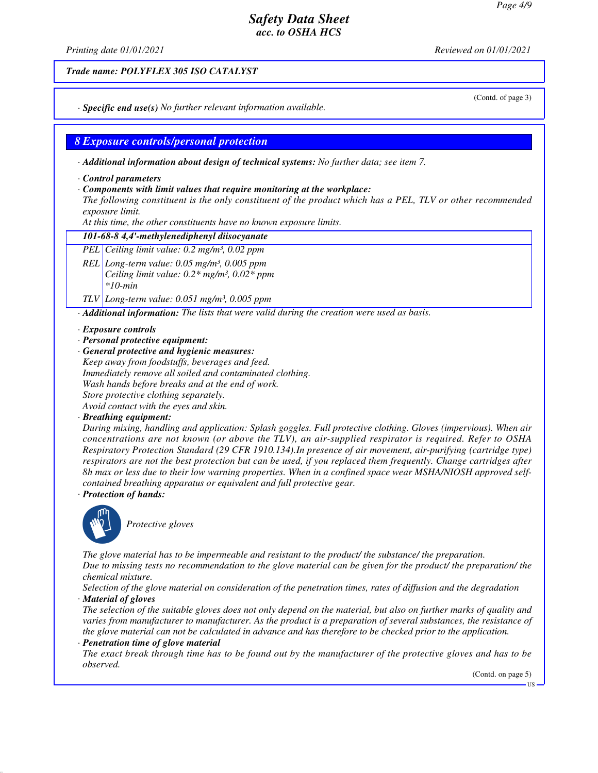*Printing date 01/01/2021 Reviewed on 01/01/2021*

*Trade name: POLYFLEX 305 ISO CATALYST*

(Contd. of page 3)

*· Specific end use(s) No further relevant information available.*

#### *8 Exposure controls/personal protection*

*· Additional information about design of technical systems: No further data; see item 7.*

*· Control parameters*

#### *· Components with limit values that require monitoring at the workplace:*

*The following constituent is the only constituent of the product which has a PEL, TLV or other recommended exposure limit.*

*At this time, the other constituents have no known exposure limits.*

#### *101-68-8 4,4'-methylenediphenyl diisocyanate*

*PEL Ceiling limit value: 0.2 mg/m³, 0.02 ppm*

*REL Long-term value: 0.05 mg/m³, 0.005 ppm Ceiling limit value: 0.2\* mg/m³, 0.02\* ppm \*10-min*

*TLV Long-term value: 0.051 mg/m³, 0.005 ppm*

*· Additional information: The lists that were valid during the creation were used as basis.*

#### *· Exposure controls*

*· Personal protective equipment:*

*· General protective and hygienic measures:*

*Keep away from foodstuffs, beverages and feed. Immediately remove all soiled and contaminated clothing. Wash hands before breaks and at the end of work. Store protective clothing separately.*

*Avoid contact with the eyes and skin.*

#### *· Breathing equipment:*

*During mixing, handling and application: Splash goggles. Full protective clothing. Gloves (impervious). When air concentrations are not known (or above the TLV), an air-supplied respirator is required. Refer to OSHA Respiratory Protection Standard (29 CFR 1910.134).In presence of air movement, air-purifying (cartridge type) respirators are not the best protection but can be used, if you replaced them frequently. Change cartridges after 8h max or less due to their low warning properties. When in a confined space wear MSHA/NIOSH approved selfcontained breathing apparatus or equivalent and full protective gear.*

*· Protection of hands:*



\_S*Protective gloves*

*The glove material has to be impermeable and resistant to the product/ the substance/ the preparation.*

*Due to missing tests no recommendation to the glove material can be given for the product/ the preparation/ the chemical mixture.*

*Selection of the glove material on consideration of the penetration times, rates of diffusion and the degradation · Material of gloves*

*The selection of the suitable gloves does not only depend on the material, but also on further marks of quality and varies from manufacturer to manufacturer. As the product is a preparation of several substances, the resistance of the glove material can not be calculated in advance and has therefore to be checked prior to the application.*

#### *· Penetration time of glove material*

*The exact break through time has to be found out by the manufacturer of the protective gloves and has to be observed.*

(Contd. on page 5)

**HS**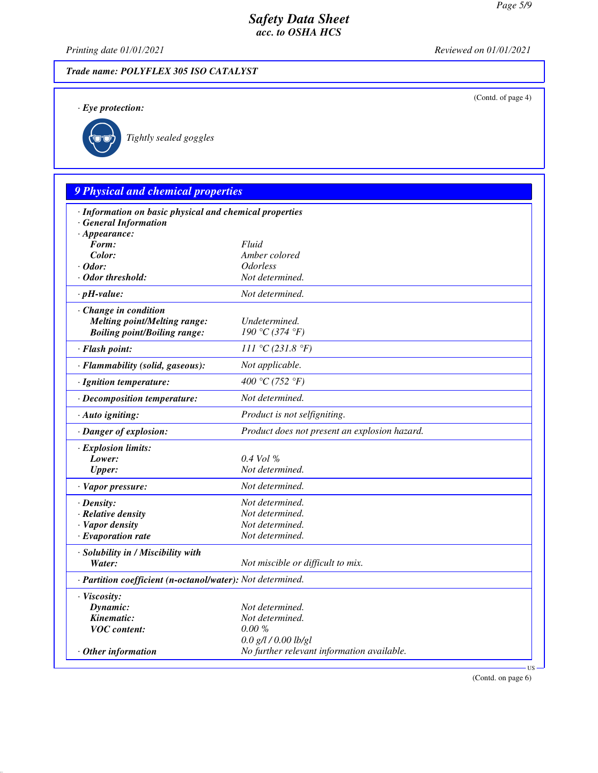(Contd. of page 4)

# *Safety Data Sheet acc. to OSHA HCS*

*Printing date 01/01/2021 Reviewed on 01/01/2021*

# *Trade name: POLYFLEX 305 ISO CATALYST*

*· Eye protection:*



\_R*Tightly sealed goggles*

# *9 Physical and chemical properties*

| · Information on basic physical and chemical properties    |                                               |  |
|------------------------------------------------------------|-----------------------------------------------|--|
| <b>General Information</b>                                 |                                               |  |
| $\cdot$ Appearance:<br>Form:                               | Fluid                                         |  |
| Color:                                                     | Amber colored                                 |  |
| $\cdot$ Odor:                                              | <i><b>Odorless</b></i>                        |  |
| $\cdot$ Odor threshold:                                    | Not determined.                               |  |
| $\cdot$ pH-value:                                          | Not determined.                               |  |
| · Change in condition                                      |                                               |  |
| <b>Melting point/Melting range:</b>                        | Undetermined.                                 |  |
| <b>Boiling point/Boiling range:</b>                        | 190 °C (374 °F)                               |  |
| · Flash point:                                             | 111 °C (231.8 °F)                             |  |
| · Flammability (solid, gaseous):                           | Not applicable.                               |  |
| · Ignition temperature:                                    | 400 °C (752 °F)                               |  |
| · Decomposition temperature:                               | Not determined.                               |  |
| · Auto igniting:                                           | Product is not selfigniting.                  |  |
| · Danger of explosion:                                     | Product does not present an explosion hazard. |  |
| · Explosion limits:                                        |                                               |  |
| Lower:                                                     | 0.4 Vol %                                     |  |
| <b>Upper:</b>                                              | Not determined.                               |  |
| $\cdot$ Vapor pressure:                                    | Not determined.                               |  |
| $\cdot$ Density:                                           | Not determined.                               |  |
| · Relative density                                         | Not determined.                               |  |
| · Vapor density                                            | Not determined.                               |  |
| $\cdot$ Evaporation rate                                   | Not determined.                               |  |
| · Solubility in / Miscibility with                         |                                               |  |
| Water:                                                     | Not miscible or difficult to mix.             |  |
| · Partition coefficient (n-octanol/water): Not determined. |                                               |  |
| · Viscosity:                                               |                                               |  |
| Dynamic:                                                   | Not determined.                               |  |
| Kinematic:                                                 | Not determined.                               |  |
| <b>VOC</b> content:                                        | $0.00 \%$                                     |  |
|                                                            | $0.0$ g/l / $0.00$ lb/gl                      |  |
| $\cdot$ Other information                                  | No further relevant information available.    |  |

(Contd. on page 6)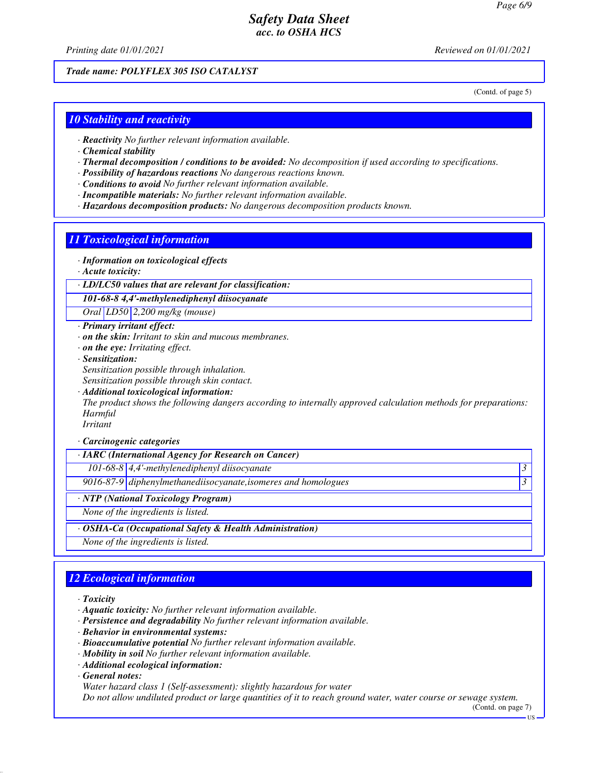*Printing date 01/01/2021 Reviewed on 01/01/2021*

*Trade name: POLYFLEX 305 ISO CATALYST*

(Contd. of page 5)

#### *10 Stability and reactivity*

- *· Reactivity No further relevant information available.*
- *· Chemical stability*
- *· Thermal decomposition / conditions to be avoided: No decomposition if used according to specifications.*
- *· Possibility of hazardous reactions No dangerous reactions known.*
- *· Conditions to avoid No further relevant information available.*
- *· Incompatible materials: No further relevant information available.*
- *· Hazardous decomposition products: No dangerous decomposition products known.*

#### *11 Toxicological information*

- *· Information on toxicological effects*
- *· Acute toxicity:*
- *· LD/LC50 values that are relevant for classification:*

*101-68-8 4,4'-methylenediphenyl diisocyanate*

*Oral LD50 2,200 mg/kg (mouse)*

- *· Primary irritant effect:*
- *· on the skin: Irritant to skin and mucous membranes.*
- *· on the eye: Irritating effect.*
- *· Sensitization: Sensitization possible through inhalation.*
- *Sensitization possible through skin contact.*
- *· Additional toxicological information:*

*The product shows the following dangers according to internally approved calculation methods for preparations: Harmful*

*Irritant*

#### *· Carcinogenic categories*

*· IARC (International Agency for Research on Cancer)*

*101-68-8 4,4'-methylenediphenyl diisocyanate 3* 

*9016-87-9 diphenylmethanediisocyanate,isomeres and homologues 3* 

*· NTP (National Toxicology Program)*

*None of the ingredients is listed.*

*· OSHA-Ca (Occupational Safety & Health Administration)*

*None of the ingredients is listed.*

# *12 Ecological information*

*· Toxicity*

- *· Aquatic toxicity: No further relevant information available.*
- *· Persistence and degradability No further relevant information available.*
- *· Behavior in environmental systems:*
- *· Bioaccumulative potential No further relevant information available.*
- *· Mobility in soil No further relevant information available.*
- *· Additional ecological information:*

*· General notes:*

*Water hazard class 1 (Self-assessment): slightly hazardous for water*

*Do not allow undiluted product or large quantities of it to reach ground water, water course or sewage system.*

(Contd. on page 7) US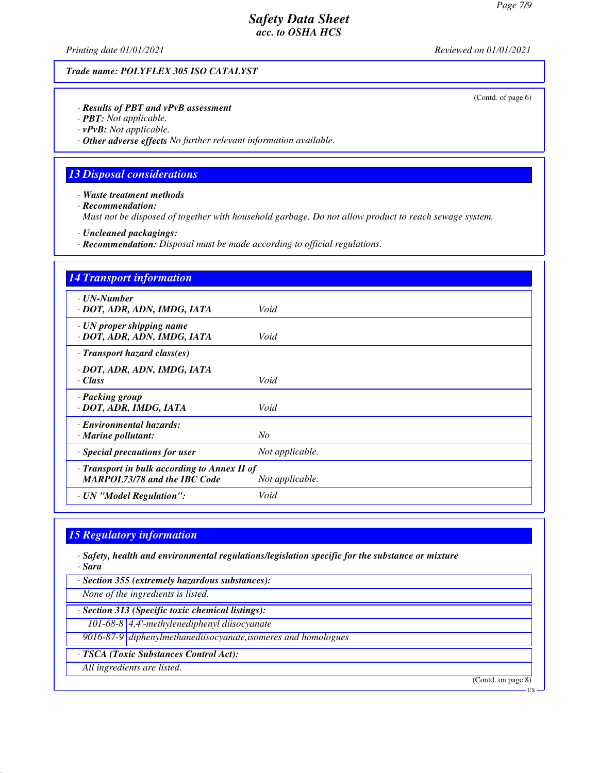*Printing date 01/01/2021 Reviewed on 01/01/2021*

*Trade name: POLYFLEX 305 ISO CATALYST*

(Contd. of page 6)

*· Results of PBT and vPvB assessment*

*· PBT: Not applicable.*

*· vPvB: Not applicable.*

*· Other adverse effects No further relevant information available.*

## *13 Disposal considerations*

*· Waste treatment methods*

*· Recommendation:*

*Must not be disposed of together with household garbage. Do not allow product to reach sewage system.*

*· Uncleaned packagings:*

*· Recommendation: Disposal must be made according to official regulations.*

| <b>14 Transport information</b>                                                                        |                 |  |
|--------------------------------------------------------------------------------------------------------|-----------------|--|
| · UN-Number<br>· DOT, ADR, ADN, IMDG, IATA                                                             | Void            |  |
| $\cdot$ UN proper shipping name<br>· DOT, ADR, ADN, IMDG, IATA                                         | Void            |  |
| $\cdot$ Transport hazard class(es)                                                                     |                 |  |
| · DOT, ADR, ADN, IMDG, IATA<br>$\cdot$ Class                                                           | Void            |  |
| · Packing group<br>· DOT, ADR, IMDG, IATA                                                              | Void            |  |
| · Environmental hazards:<br>$\cdot$ Marine pollutant:                                                  | No              |  |
| $\cdot$ Special precautions for user                                                                   | Not applicable. |  |
| · Transport in bulk according to Annex II of<br><b>MARPOL73/78 and the IBC Code</b><br>Not applicable. |                 |  |
| · UN "Model Regulation":                                                                               | Void            |  |

#### *15 Regulatory information*

*· Safety, health and environmental regulations/legislation specific for the substance or mixture · Sara*

*· Section 355 (extremely hazardous substances):*

*None of the ingredients is listed.*

*· Section 313 (Specific toxic chemical listings):*

*101-68-8 4,4'-methylenediphenyl diisocyanate*

*9016-87-9 diphenylmethanediisocyanate,isomeres and homologues*

*· TSCA (Toxic Substances Control Act):*

*All ingredients are listed.*

(Contd. on page 8)

US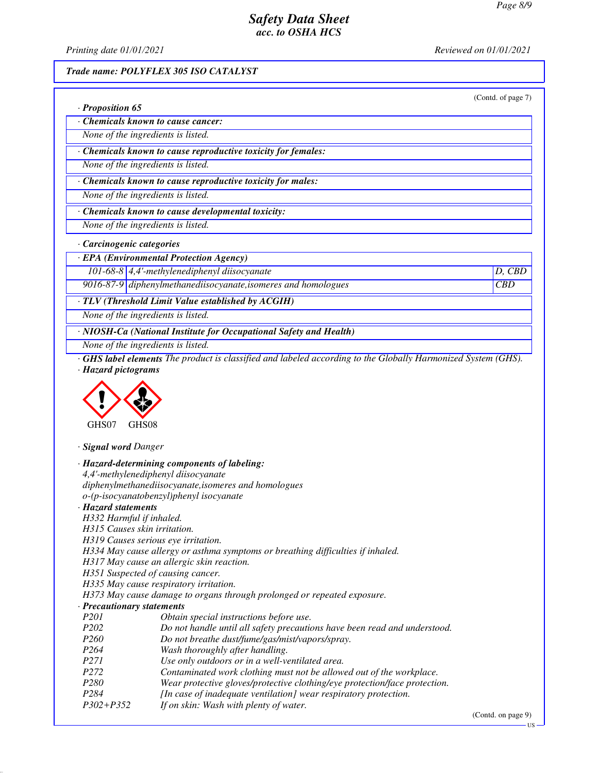*Printing date 01/01/2021 Reviewed on 01/01/2021*

*· Proposition 65*

#### *Trade name: POLYFLEX 305 ISO CATALYST*

(Contd. of page 7)

US

| Chemicals known to cause cancer:   |
|------------------------------------|
| None of the ingredients is listed. |

*· Chemicals known to cause reproductive toxicity for females:*

*None of the ingredients is listed.*

*· Chemicals known to cause reproductive toxicity for males:*

*None of the ingredients is listed.*

*· Chemicals known to cause developmental toxicity:*

*None of the ingredients is listed.*

*· Carcinogenic categories*

*· EPA (Environmental Protection Agency)*

*101-68-8 4,4'-methylenediphenyl diisocyanate D, CBD*

*9016-87-9 diphenylmethanediisocyanate,isomeres and homologues CBD*

*· TLV (Threshold Limit Value established by ACGIH)*

*None of the ingredients is listed.*

*· NIOSH-Ca (National Institute for Occupational Safety and Health)*

*None of the ingredients is listed.*

*· GHS label elements The product is classified and labeled according to the Globally Harmonized System (GHS). · Hazard pictograms*



*· Signal word Danger*

|                              | · Hazard-determining components of labeling:                                    |                    |  |
|------------------------------|---------------------------------------------------------------------------------|--------------------|--|
|                              | 4,4'-methylenediphenyl diisocyanate                                             |                    |  |
|                              | diphenylmethanediisocyanate, isomeres and homologues                            |                    |  |
|                              | $o$ -(p-isocyanatobenzyl)phenyl isocyanate                                      |                    |  |
| · Hazard statements          |                                                                                 |                    |  |
| H332 Harmful if inhaled.     |                                                                                 |                    |  |
| H315 Causes skin irritation. |                                                                                 |                    |  |
|                              | H319 Causes serious eye irritation.                                             |                    |  |
|                              | H334 May cause allergy or asthma symptoms or breathing difficulties if inhaled. |                    |  |
|                              | H317 May cause an allergic skin reaction.                                       |                    |  |
|                              | H351 Suspected of causing cancer.                                               |                    |  |
|                              | H335 May cause respiratory irritation.                                          |                    |  |
|                              | H373 May cause damage to organs through prolonged or repeated exposure.         |                    |  |
| · Precautionary statements   |                                                                                 |                    |  |
| <i>P201</i>                  | Obtain special instructions before use.                                         |                    |  |
| <i>P202</i>                  | Do not handle until all safety precautions have been read and understood.       |                    |  |
| P <sub>260</sub>             | Do not breathe dust/fume/gas/mist/vapors/spray.                                 |                    |  |
| P264                         | Wash thoroughly after handling.                                                 |                    |  |
| <i>P271</i>                  | Use only outdoors or in a well-ventilated area.                                 |                    |  |
| P <sub>272</sub>             | Contaminated work clothing must not be allowed out of the workplace.            |                    |  |
| P <sub>280</sub>             | Wear protective gloves/protective clothing/eye protection/face protection.      |                    |  |
| P <sub>284</sub>             | [In case of inadequate ventilation] wear respiratory protection.                |                    |  |
| $P302 + P352$                | If on skin: Wash with plenty of water.                                          |                    |  |
|                              |                                                                                 | (Contd. on page 9) |  |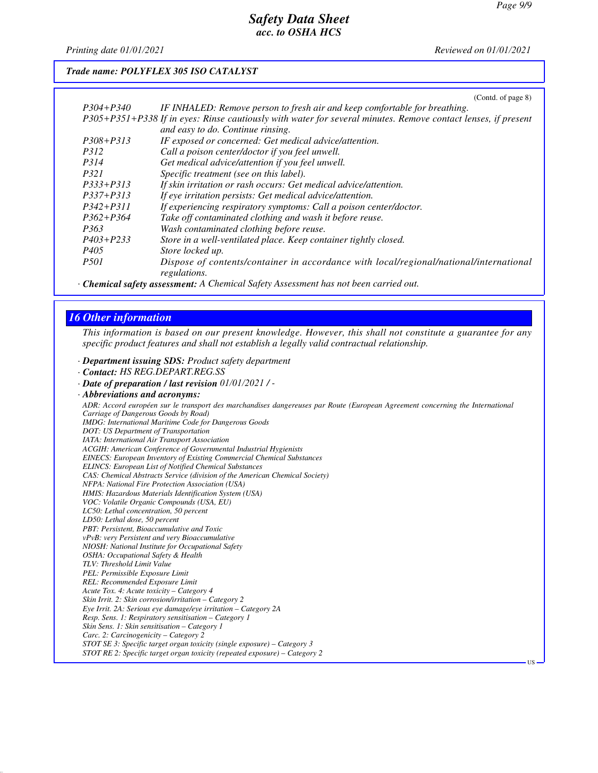*Printing date 01/01/2021 Reviewed on 01/01/2021*

#### *Trade name: POLYFLEX 305 ISO CATALYST*

|               | (Contd. of page 8)                                                                                            |
|---------------|---------------------------------------------------------------------------------------------------------------|
| $P304 + P340$ | IF INHALED: Remove person to fresh air and keep comfortable for breathing.                                    |
|               | P305+P351+P338 If in eyes: Rinse cautiously with water for several minutes. Remove contact lenses, if present |
|               | and easy to do. Continue rinsing.                                                                             |
| $P308 + P313$ | IF exposed or concerned: Get medical advice/attention.                                                        |
| <i>P312</i>   | Call a poison center/doctor if you feel unwell.                                                               |
| <i>P314</i>   | Get medical advice/attention if you feel unwell.                                                              |
| <i>P321</i>   | Specific treatment (see on this label).                                                                       |
| $P333+P313$   | If skin irritation or rash occurs: Get medical advice/attention.                                              |
| P337+P313     | If eye irritation persists: Get medical advice/attention.                                                     |
| $P342 + P311$ | If experiencing respiratory symptoms: Call a poison center/doctor.                                            |
| $P362 + P364$ | Take off contaminated clothing and wash it before reuse.                                                      |
| P363          | Wash contaminated clothing before reuse.                                                                      |
| $P403 + P233$ | Store in a well-ventilated place. Keep container tightly closed.                                              |
| P405          | Store locked up.                                                                                              |
| <i>P501</i>   | Dispose of contents/container in accordance with local/regional/national/international                        |
|               | regulations.                                                                                                  |
|               |                                                                                                               |

*· Chemical safety assessment: A Chemical Safety Assessment has not been carried out.*

# *16 Other information*

*This information is based on our present knowledge. However, this shall not constitute a guarantee for any specific product features and shall not establish a legally valid contractual relationship.*

*· Department issuing SDS: Product safety department*

- *· Contact: HS REG.DEPART.REG.SS*
- *· Date of preparation / last revision 01/01/2021 / -*
- *· Abbreviations and acronyms:*

*ADR: Accord européen sur le transport des marchandises dangereuses par Route (European Agreement concerning the International Carriage of Dangerous Goods by Road)*

*IMDG: International Maritime Code for Dangerous Goods*

*DOT: US Department of Transportation*

*IATA: International Air Transport Association ACGIH: American Conference of Governmental Industrial Hygienists*

*EINECS: European Inventory of Existing Commercial Chemical Substances*

*ELINCS: European List of Notified Chemical Substances*

*CAS: Chemical Abstracts Service (division of the American Chemical Society)*

- *NFPA: National Fire Protection Association (USA)*
- *HMIS: Hazardous Materials Identification System (USA)*

*VOC: Volatile Organic Compounds (USA, EU)*

*LC50: Lethal concentration, 50 percent*

*LD50: Lethal dose, 50 percent PBT: Persistent, Bioaccumulative and Toxic*

*vPvB: very Persistent and very Bioaccumulative*

*NIOSH: National Institute for Occupational Safety*

*OSHA: Occupational Safety & Health*

*TLV: Threshold Limit Value*

*PEL: Permissible Exposure Limit REL: Recommended Exposure Limit*

*Acute Tox. 4: Acute toxicity – Category 4*

*Skin Irrit. 2: Skin corrosion/irritation – Category 2*

*Eye Irrit. 2A: Serious eye damage/eye irritation – Category 2A*

*Resp. Sens. 1: Respiratory sensitisation – Category 1*

*Skin Sens. 1: Skin sensitisation – Category 1*

*Carc. 2: Carcinogenicity – Category 2 STOT SE 3: Specific target organ toxicity (single exposure) – Category 3*

*STOT RE 2: Specific target organ toxicity (repeated exposure) – Category 2*

US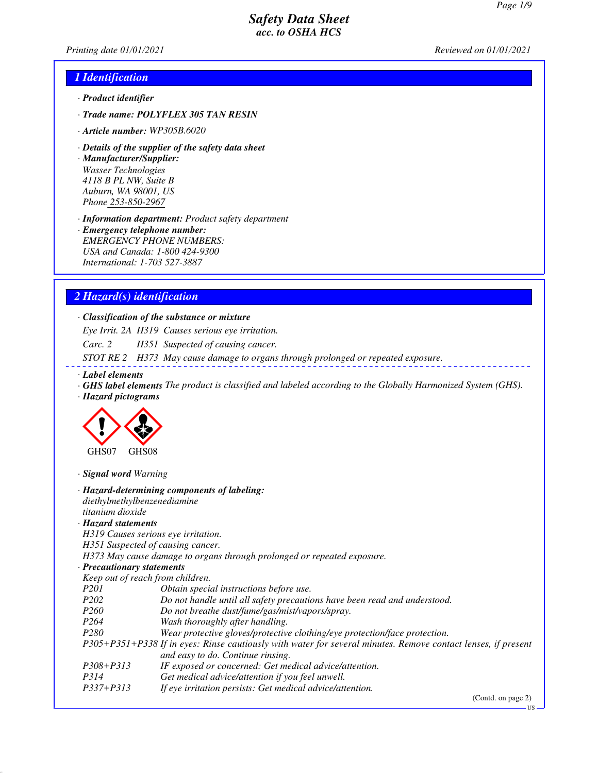*Printing date 01/01/2021 Reviewed on 01/01/2021*

## *1 Identification*

- *· Product identifier*
- *· Trade name: POLYFLEX 305 TAN RESIN*
- *· Article number: WP305B.6020*
- *· Details of the supplier of the safety data sheet*

*· Manufacturer/Supplier: Wasser Technologies 4118 B PL NW, Suite B Auburn, WA 98001, US Phone 253-850-2967*

*· Information department: Product safety department*

*· Emergency telephone number: EMERGENCY PHONE NUMBERS: USA and Canada: 1-800 424-9300 International: 1-703 527-3887*

#### *2 Hazard(s) identification*

#### *· Classification of the substance or mixture*

*Eye Irrit. 2A H319 Causes serious eye irritation.*

*Carc. 2 H351 Suspected of causing cancer.*

*STOT RE 2 H373 May cause damage to organs through prolonged or repeated exposure.*

- *· Label elements*
- *· GHS label elements The product is classified and labeled according to the Globally Harmonized System (GHS).*
- *· Hazard pictograms*



*· Signal word Warning*

| diethylmethylbenzenediamine<br>titanium dioxide | · Hazard-determining components of labeling:                                                                                                       |
|-------------------------------------------------|----------------------------------------------------------------------------------------------------------------------------------------------------|
| · Hazard statements                             |                                                                                                                                                    |
|                                                 | H319 Causes serious eye irritation.                                                                                                                |
|                                                 | H351 Suspected of causing cancer.                                                                                                                  |
|                                                 | H373 May cause damage to organs through prolonged or repeated exposure.                                                                            |
| · Precautionary statements                      |                                                                                                                                                    |
| Keep out of reach from children.                |                                                                                                                                                    |
| <i>P201</i>                                     | Obtain special instructions before use.                                                                                                            |
| P <sub>202</sub>                                | Do not handle until all safety precautions have been read and understood.                                                                          |
| <i>P260</i>                                     | Do not breathe dust/fume/gas/mist/vapors/spray.                                                                                                    |
| P <sub>264</sub>                                | Wash thoroughly after handling.                                                                                                                    |
| <i>P280</i>                                     | Wear protective gloves/protective clothing/eye protection/face protection.                                                                         |
|                                                 | P305+P351+P338 If in eyes: Rinse cautiously with water for several minutes. Remove contact lenses, if present<br>and easy to do. Continue rinsing. |
| $P308 + P313$                                   | IF exposed or concerned: Get medical advice/attention.                                                                                             |
| P314                                            | Get medical advice/attention if you feel unwell.                                                                                                   |
| $P337 + P313$                                   | If eye irritation persists: Get medical advice/attention.                                                                                          |
|                                                 | (Contd. on page 2)                                                                                                                                 |

US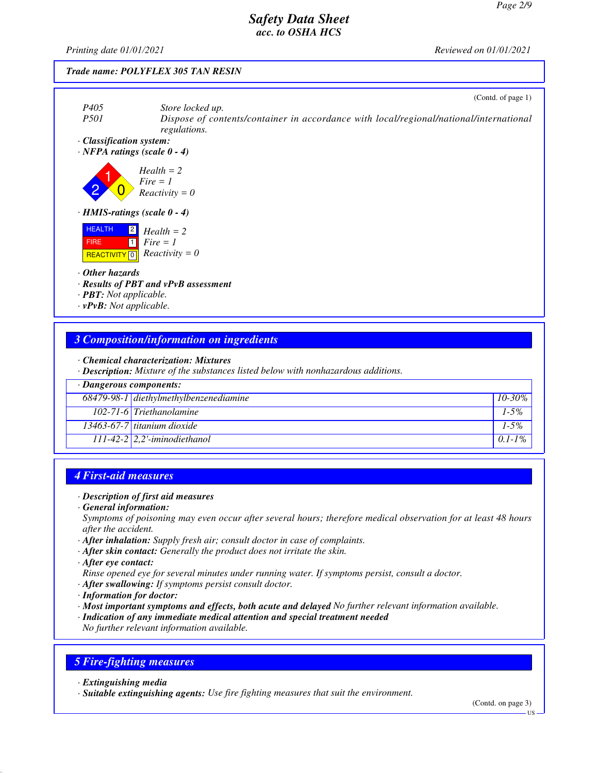*Printing date 01/01/2021 Reviewed on 01/01/2021*

#### *Trade name: POLYFLEX 305 TAN RESIN*



## *3 Composition/information on ingredients*

*· Chemical characterization: Mixtures*

*· Description: Mixture of the substances listed below with nonhazardous additions.*

| $\cdot$ Dangerous components: |                                           |             |
|-------------------------------|-------------------------------------------|-------------|
|                               | $68479-98-1$ diethylmethylbenzenediamine  | $10 - 30\%$ |
|                               | 102-71-6 Triethanolamine                  | $1 - 5\%$   |
|                               | 13463-67-7 titanium dioxide               | $1 - 5\%$   |
|                               | $\boxed{111-42}$ -2   2,2'-iminodiethanol | $0.1 - 1\%$ |

#### *4 First-aid measures*

#### *· Description of first aid measures*

*· General information:*

*Symptoms of poisoning may even occur after several hours; therefore medical observation for at least 48 hours after the accident.*

- *· After inhalation: Supply fresh air; consult doctor in case of complaints.*
- *· After skin contact: Generally the product does not irritate the skin.*
- *· After eye contact:*
- *Rinse opened eye for several minutes under running water. If symptoms persist, consult a doctor.*
- *· After swallowing: If symptoms persist consult doctor.*
- *· Information for doctor:*
- *· Most important symptoms and effects, both acute and delayed No further relevant information available.*
- *· Indication of any immediate medical attention and special treatment needed*

*No further relevant information available.*

#### *5 Fire-fighting measures*

*· Extinguishing media*

*· Suitable extinguishing agents: Use fire fighting measures that suit the environment.*

(Contd. on page 3)

US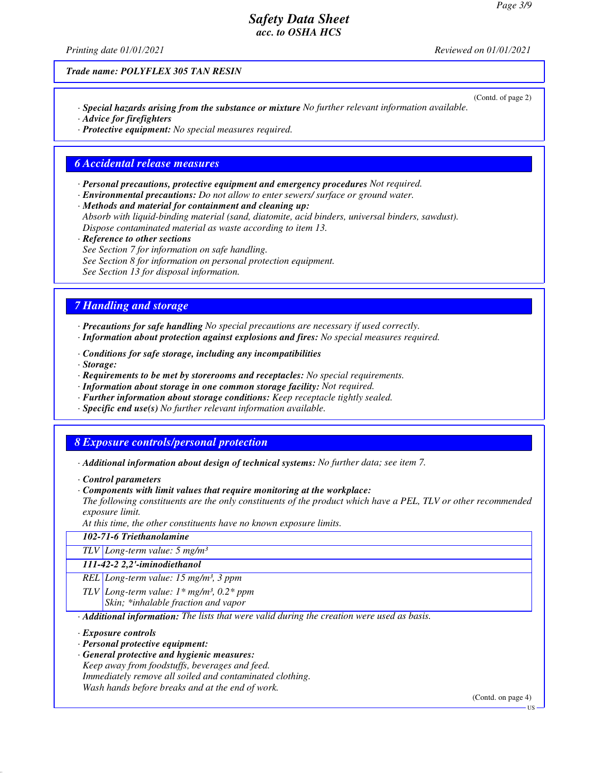*Printing date 01/01/2021 Reviewed on 01/01/2021*

*Trade name: POLYFLEX 305 TAN RESIN*

(Contd. of page 2) *· Special hazards arising from the substance or mixture No further relevant information available.*

*· Advice for firefighters*

*· Protective equipment: No special measures required.*

#### *6 Accidental release measures*

- *· Personal precautions, protective equipment and emergency procedures Not required.*
- *· Environmental precautions: Do not allow to enter sewers/ surface or ground water.*

*· Methods and material for containment and cleaning up:*

*Absorb with liquid-binding material (sand, diatomite, acid binders, universal binders, sawdust). Dispose contaminated material as waste according to item 13.*

*· Reference to other sections*

*See Section 7 for information on safe handling.*

*See Section 8 for information on personal protection equipment.*

*See Section 13 for disposal information.*

### *7 Handling and storage*

- *· Precautions for safe handling No special precautions are necessary if used correctly.*
- *· Information about protection against explosions and fires: No special measures required.*
- *· Conditions for safe storage, including any incompatibilities*
- *· Storage:*
- *· Requirements to be met by storerooms and receptacles: No special requirements.*
- *· Information about storage in one common storage facility: Not required.*
- *· Further information about storage conditions: Keep receptacle tightly sealed.*
- *· Specific end use(s) No further relevant information available.*

#### *8 Exposure controls/personal protection*

- *· Additional information about design of technical systems: No further data; see item 7.*
- *· Control parameters*
- *· Components with limit values that require monitoring at the workplace:*
- *The following constituents are the only constituents of the product which have a PEL, TLV or other recommended exposure limit.*

*At this time, the other constituents have no known exposure limits.*

|  | 102-71-6 Triethanolamine |
|--|--------------------------|
|--|--------------------------|

*TLV Long-term value: 5 mg/m³*

#### *111-42-2 2,2'-iminodiethanol*

- *REL Long-term value: 15 mg/m³, 3 ppm*
- *TLV Long-term value: 1\* mg/m³, 0.2\* ppm*

*Skin; \*inhalable fraction and vapor*

*· Additional information: The lists that were valid during the creation were used as basis.*

*· Exposure controls*

- *· Personal protective equipment:*
- *· General protective and hygienic measures:*
- *Keep away from foodstuffs, beverages and feed.*

*Immediately remove all soiled and contaminated clothing.*

*Wash hands before breaks and at the end of work.*

(Contd. on page 4)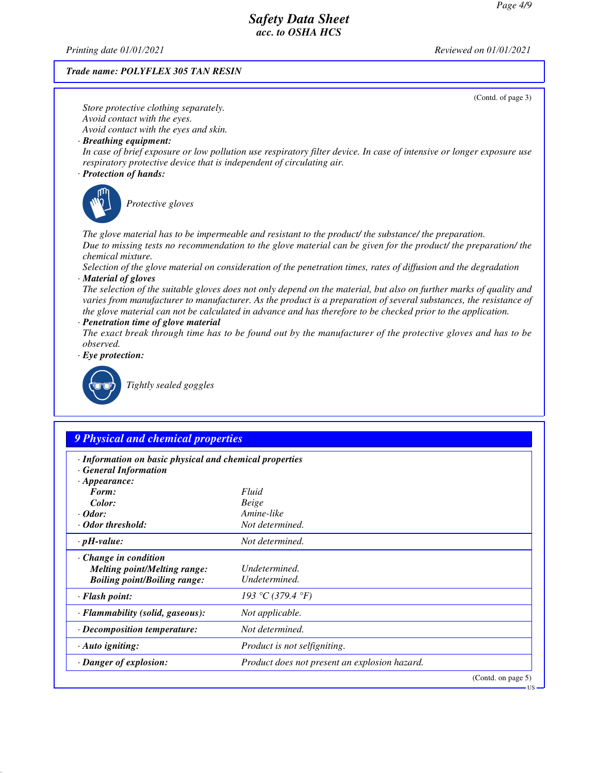*Printing date 01/01/2021 Reviewed on 01/01/2021*

#### *Trade name: POLYFLEX 305 TAN RESIN*

(Contd. of page 3) *Store protective clothing separately. Avoid contact with the eyes. Avoid contact with the eyes and skin. · Breathing equipment: In case of brief exposure or low pollution use respiratory filter device. In case of intensive or longer exposure use respiratory protective device that is independent of circulating air. · Protection of hands:* \_S*Protective gloves The glove material has to be impermeable and resistant to the product/ the substance/ the preparation. Due to missing tests no recommendation to the glove material can be given for the product/ the preparation/ the chemical mixture. Selection of the glove material on consideration of the penetration times, rates of diffusion and the degradation · Material of gloves The selection of the suitable gloves does not only depend on the material, but also on further marks of quality and varies from manufacturer to manufacturer. As the product is a preparation of several substances, the resistance of the glove material can not be calculated in advance and has therefore to be checked prior to the application. · Penetration time of glove material The exact break through time has to be found out by the manufacturer of the protective gloves and has to be observed. · Eye protection:* \_R*Tightly sealed goggles 9 Physical and chemical properties · Information on basic physical and chemical properties · General Information · Appearance: Form: Fluid Color: Beige*

| Color:                              | Beige                                         |
|-------------------------------------|-----------------------------------------------|
| $\cdot$ Odor:                       | Amine-like                                    |
| · Odor threshold:                   | Not determined.                               |
| $\cdot$ pH-value:                   | Not determined.                               |
| $\cdot$ Change in condition         |                                               |
| <b>Melting point/Melting range:</b> | Undetermined.                                 |
| <b>Boiling point/Boiling range:</b> | Undetermined.                                 |
| · Flash point:                      | 193 °C (379.4 °F)                             |
| · Flammability (solid, gaseous):    | Not applicable.                               |
| $\cdot$ Decomposition temperature:  | Not determined.                               |
| $\cdot$ Auto igniting:              | <i>Product is not selfigniting.</i>           |
| · Danger of explosion:              | Product does not present an explosion hazard. |
|                                     | (Contd. on page 5)                            |

#### US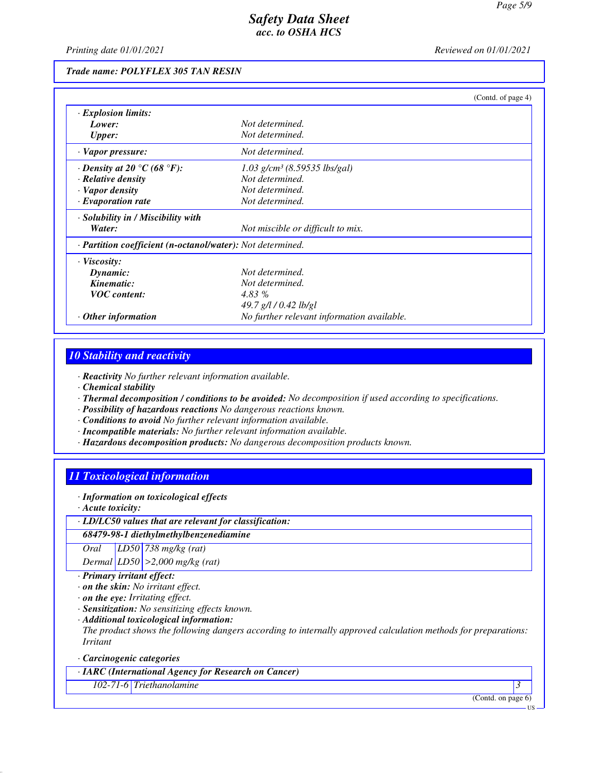*Printing date 01/01/2021 Reviewed on 01/01/2021*

#### *Trade name: POLYFLEX 305 TAN RESIN*

|                                                                   |                                            | (Contd. of page 4) |
|-------------------------------------------------------------------|--------------------------------------------|--------------------|
| $\cdot$ Explosion limits:                                         |                                            |                    |
| Lower:                                                            | Not determined.                            |                    |
| <b>Upper:</b>                                                     | Not determined.                            |                    |
| · Vapor pressure:                                                 | Not determined.                            |                    |
| $\cdot$ Density at 20 $\degree$ C (68 $\degree$ F):               | $1.03$ g/cm <sup>3</sup> (8.59535 lbs/gal) |                    |
| · Relative density                                                | Not determined.                            |                    |
| · Vapor density                                                   | Not determined.                            |                    |
| $\cdot$ Evaporation rate                                          | Not determined.                            |                    |
| · Solubility in / Miscibility with                                |                                            |                    |
| Water:                                                            | Not miscible or difficult to mix.          |                    |
| · <b>Partition coefficient (n-octanol/water):</b> Not determined. |                                            |                    |
| · Viscosity:                                                      |                                            |                    |
| Dynamic:                                                          | Not determined.                            |                    |
| Kinematic:                                                        | Not determined.                            |                    |
| <b>VOC</b> content:                                               | 4.83 %                                     |                    |
|                                                                   | 49.7 g/l / 0.42 lb/gl                      |                    |
| Other information                                                 | No further relevant information available. |                    |

# *10 Stability and reactivity*

*· Reactivity No further relevant information available.*

*· Chemical stability*

*· Thermal decomposition / conditions to be avoided: No decomposition if used according to specifications.*

*· Possibility of hazardous reactions No dangerous reactions known.*

*· Conditions to avoid No further relevant information available.*

- *· Incompatible materials: No further relevant information available.*
- *· Hazardous decomposition products: No dangerous decomposition products known.*

# *11 Toxicological information*

*· Information on toxicological effects*

*· Acute toxicity:*

*· LD/LC50 values that are relevant for classification:*

#### *68479-98-1 diethylmethylbenzenediamine*

*Oral LD50 738 mg/kg (rat)*

*Dermal LD50 >2,000 mg/kg (rat)*

*· Primary irritant effect:*

*· on the skin: No irritant effect.*

*· on the eye: Irritating effect.*

*· Sensitization: No sensitizing effects known.*

*· Additional toxicological information:*

*The product shows the following dangers according to internally approved calculation methods for preparations: Irritant*

*· Carcinogenic categories*

*· IARC (International Agency for Research on Cancer)*

*102-71-6 Triethanolamine 3* 

(Contd. on page 6)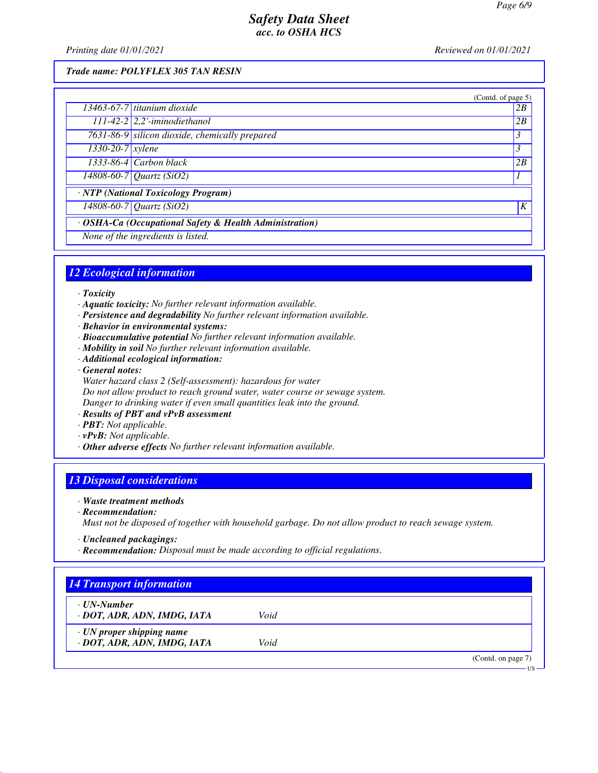*Printing date 01/01/2021 Reviewed on 01/01/2021*

#### *Trade name: POLYFLEX 305 TAN RESIN*

|                                                         | (Contd. of page 5)                             |    |
|---------------------------------------------------------|------------------------------------------------|----|
|                                                         | $13463-67-7$ titanium dioxide                  | 2B |
|                                                         | $111-42-2$ 2,2'-iminodiethanol                 | 2B |
|                                                         | 7631-86-9 silicon dioxide, chemically prepared | 3  |
| $1330 - 20 - 7$ <i>xylene</i>                           |                                                | 3  |
|                                                         | $1333-86-4$ Carbon black                       | 2B |
|                                                         | $\sqrt{14808 - 60 - 7}$ Quartz (SiO2)          |    |
|                                                         | · NTP (National Toxicology Program)            |    |
|                                                         | 14808-60-7 Quartz (SiO2)                       | K  |
| · OSHA-Ca (Occupational Safety & Health Administration) |                                                |    |
|                                                         | None of the ingredients is listed.             |    |

# *12 Ecological information*

- *· Toxicity*
- *· Aquatic toxicity: No further relevant information available.*
- *· Persistence and degradability No further relevant information available.*
- *· Behavior in environmental systems:*
- *· Bioaccumulative potential No further relevant information available.*
- *· Mobility in soil No further relevant information available.*
- *· Additional ecological information:*
- *· General notes: Water hazard class 2 (Self-assessment): hazardous for water Do not allow product to reach ground water, water course or sewage system. Danger to drinking water if even small quantities leak into the ground.*
- *· Results of PBT and vPvB assessment*
- *· PBT: Not applicable.*
- *· vPvB: Not applicable.*
- *· Other adverse effects No further relevant information available.*

# *13 Disposal considerations*

- *· Waste treatment methods*
- *· Recommendation:*
- *Must not be disposed of together with household garbage. Do not allow product to reach sewage system.*
- *· Uncleaned packagings:*
- *· Recommendation: Disposal must be made according to official regulations.*

| ⋅ UN-Number                     |      |  |
|---------------------------------|------|--|
| · DOT, ADR, ADN, IMDG, IATA     | Void |  |
| $\cdot$ UN proper shipping name |      |  |
| · DOT, ADR, ADN, IMDG, IATA     | Void |  |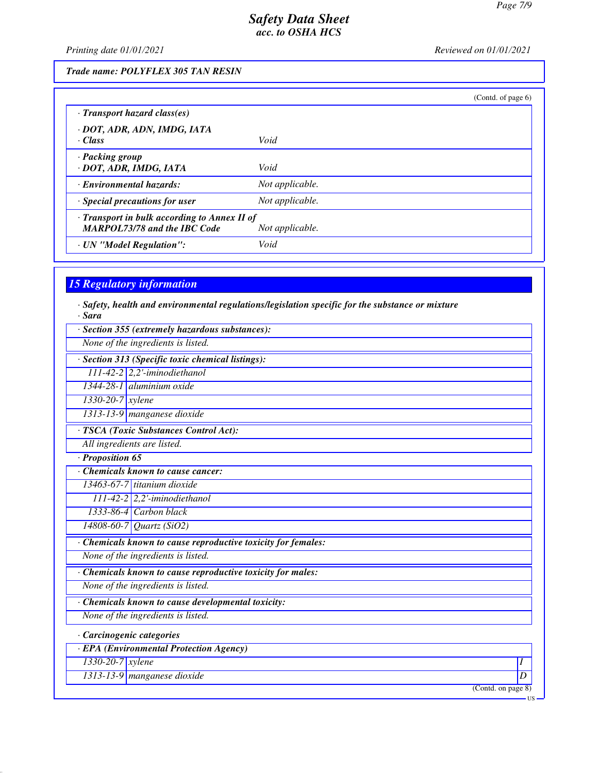*Printing date 01/01/2021 Reviewed on 01/01/2021*

#### *Trade name: POLYFLEX 305 TAN RESIN*

|                                                                                     | (Contd. of page $6$ ) |
|-------------------------------------------------------------------------------------|-----------------------|
| $\cdot$ Transport hazard class(es)                                                  |                       |
| · DOT, ADR, ADN, IMDG, IATA<br>$\cdot$ Class                                        | Void                  |
| · Packing group<br>· DOT, ADR, IMDG, IATA                                           | Void                  |
| <b>Environmental hazards:</b>                                                       | Not applicable.       |
| $\cdot$ Special precautions for user                                                | Not applicable.       |
| · Transport in bulk according to Annex II of<br><b>MARPOL73/78 and the IBC Code</b> | Not applicable.       |
| · UN "Model Regulation":                                                            | Void                  |

#### *15 Regulatory information*

| · Sara                        | $\cdot$ Safety, health and environmental regulations/legislation specific for the substance or mixture |
|-------------------------------|--------------------------------------------------------------------------------------------------------|
|                               | $\cdot$ Section 355 (extremely hazardous substances):                                                  |
|                               | None of the ingredients is listed.                                                                     |
|                               | · Section 313 (Specific toxic chemical listings):                                                      |
|                               | $111-42-2$ 2,2'-iminodiethanol                                                                         |
|                               | $1344-28-1$ aluminium oxide                                                                            |
| $1330 - 20 - 7$ <i>xylene</i> |                                                                                                        |

*· TSCA (Toxic Substances Control Act): All ingredients are listed.*

*1313-13-9 manganese dioxide*

*· Proposition 65*

*· Chemicals known to cause cancer:*

*13463-67-7 titanium dioxide*

*111-42-2 2,2'-iminodiethanol 1333-86-4 Carbon black*

*14808-60-7 Quartz (SiO2)*

*· Chemicals known to cause reproductive toxicity for females:*

*None of the ingredients is listed.*

*· Chemicals known to cause reproductive toxicity for males:*

*None of the ingredients is listed.*

*· Chemicals known to cause developmental toxicity:*

*None of the ingredients is listed.*

*· Carcinogenic categories*

*· EPA (Environmental Protection Agency)*

*1330-20-7 xylene I* 

*1313-13-9 manganese dioxide D* 

(Contd. on page 8)

US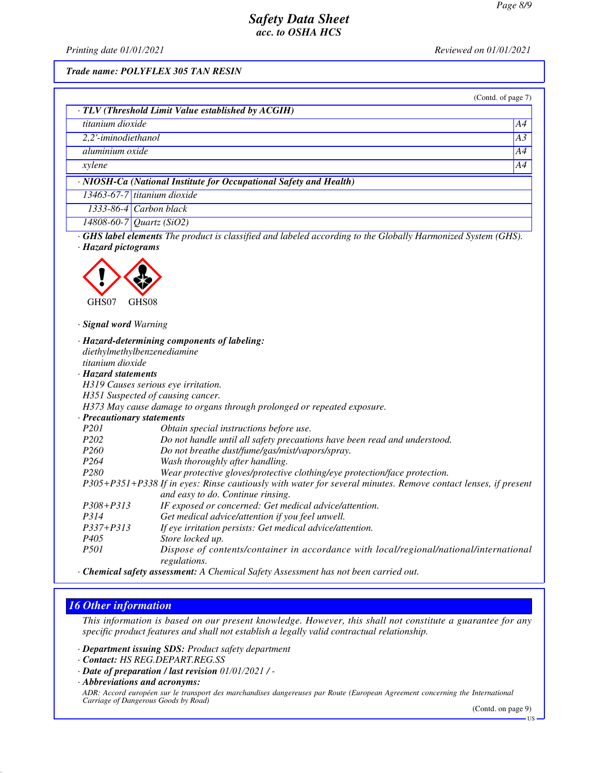*Printing date 01/01/2021 Reviewed on 01/01/2021*

*Trade name: POLYFLEX 305 TAN RESIN*

|                             | · TLV (Threshold Limit Value established by ACGIH)                                                            |    |
|-----------------------------|---------------------------------------------------------------------------------------------------------------|----|
| titanium dioxide            |                                                                                                               | A4 |
| 2,2'-iminodiethanol         |                                                                                                               | A3 |
| aluminium oxide             |                                                                                                               | A4 |
|                             |                                                                                                               | A4 |
| xylene                      |                                                                                                               |    |
|                             | · NIOSH-Ca (National Institute for Occupational Safety and Health)                                            |    |
| 13463-67-7 titanium dioxide |                                                                                                               |    |
| $1333 - 86 - 4$             | Carbon black                                                                                                  |    |
| 14808-60-7 Quartz (SiO2)    |                                                                                                               |    |
| · Hazard pictograms         |                                                                                                               |    |
| GHS07<br>GHS08              |                                                                                                               |    |
| · Signal word Warning       |                                                                                                               |    |
|                             | · Hazard-determining components of labeling:                                                                  |    |
| diethylmethylbenzenediamine |                                                                                                               |    |
| titanium dioxide            |                                                                                                               |    |
| · Hazard statements         |                                                                                                               |    |
|                             | H319 Causes serious eye irritation.                                                                           |    |
|                             | H351 Suspected of causing cancer.                                                                             |    |
|                             | H373 May cause damage to organs through prolonged or repeated exposure.                                       |    |
| · Precautionary statements  |                                                                                                               |    |
| P201                        | Obtain special instructions before use.                                                                       |    |
| P <sub>202</sub>            | Do not handle until all safety precautions have been read and understood.                                     |    |
| P <sub>260</sub>            | Do not breathe dust/fume/gas/mist/vapors/spray.                                                               |    |
| P <sub>264</sub>            | Wash thoroughly after handling.                                                                               |    |
| P <sub>280</sub>            | Wear protective gloves/protective clothing/eye protection/face protection.                                    |    |
|                             | P305+P351+P338 If in eyes: Rinse cautiously with water for several minutes. Remove contact lenses, if present |    |
|                             | and easy to do. Continue rinsing.                                                                             |    |
| P308+P313                   | IF exposed or concerned: Get medical advice/attention.                                                        |    |
|                             | Get medical advice/attention if you feel unwell.                                                              |    |
| P314                        |                                                                                                               |    |
| P337+P313                   | If eye irritation persists: Get medical advice/attention.                                                     |    |
| P <sub>405</sub>            | Store locked up.                                                                                              |    |

# *16 Other information*

*This information is based on our present knowledge. However, this shall not constitute a guarantee for any specific product features and shall not establish a legally valid contractual relationship.*

*· Department issuing SDS: Product safety department*

- *· Date of preparation / last revision 01/01/2021 / -*
- *· Abbreviations and acronyms:*

*ADR: Accord européen sur le transport des marchandises dangereuses par Route (European Agreement concerning the International Carriage of Dangerous Goods by Road)*

(Contd. on page 9)

*<sup>·</sup> Contact: HS REG.DEPART.REG.SS*

US